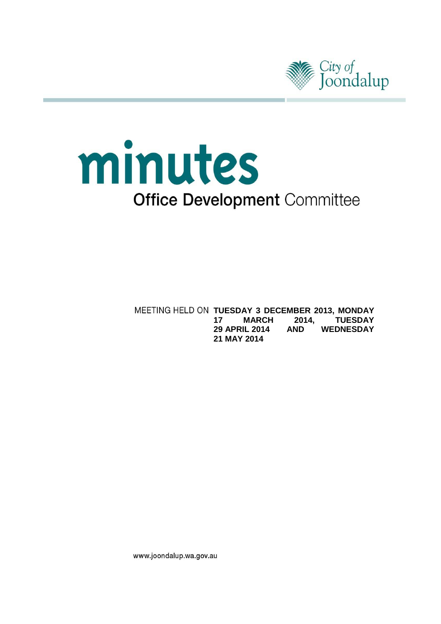

# minutes **Office Development Committee**

**MEETING HELD ON TUESDAY 3 DECEMBER 2013, MONDAY**<br>**17 MARCH 2014, TUESDAY 17 MARCH 2014,<br>29 APRIL 2014 AND 29 APRIL 2014 AND WEDNESDAY 21 MAY 2014**

www.joondalup.wa.gov.au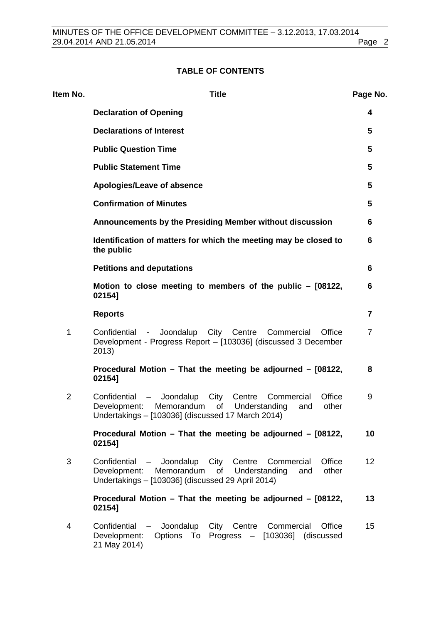# **TABLE OF CONTENTS**

| ltem No.       | <b>Title</b>                                                                                                                                                                                 | Page No.       |
|----------------|----------------------------------------------------------------------------------------------------------------------------------------------------------------------------------------------|----------------|
|                | <b>Declaration of Opening</b>                                                                                                                                                                | 4              |
|                | <b>Declarations of Interest</b>                                                                                                                                                              | 5              |
|                | <b>Public Question Time</b>                                                                                                                                                                  | 5              |
|                | <b>Public Statement Time</b>                                                                                                                                                                 | 5              |
|                | Apologies/Leave of absence                                                                                                                                                                   | 5              |
|                | <b>Confirmation of Minutes</b>                                                                                                                                                               | 5              |
|                | Announcements by the Presiding Member without discussion                                                                                                                                     | 6              |
|                | Identification of matters for which the meeting may be closed to<br>the public                                                                                                               | 6              |
|                | <b>Petitions and deputations</b>                                                                                                                                                             | 6              |
|                | Motion to close meeting to members of the public - [08122,<br>02154]                                                                                                                         | 6              |
|                | <b>Reports</b>                                                                                                                                                                               | 7              |
| 1<br>2013)     | Confidential - Joondalup City Centre<br>Commercial<br>Office<br>Development - Progress Report - [103036] (discussed 3 December                                                               | $\overline{7}$ |
|                | Procedural Motion - That the meeting be adjourned - [08122,<br>02154]                                                                                                                        | 8              |
| $\overline{2}$ | Office<br>- Joondalup<br>City Centre<br>Commercial<br>Confidential<br>Development:<br>Memorandum<br>Understanding<br>of<br>other<br>and<br>Undertakings - [103036] (discussed 17 March 2014) | 9              |
|                | Procedural Motion - That the meeting be adjourned - [08122,<br>02154]                                                                                                                        | 10             |
| 3              | - Joondalup City Centre<br>Office<br>Confidential<br>Commercial<br>Memorandum<br>of<br>Understanding<br>Development:<br>and<br>other<br>Undertakings - [103036] (discussed 29 April 2014)    | 12             |
|                | Procedural Motion - That the meeting be adjourned - [08122,<br>02154]                                                                                                                        | 13             |
| 4              | Confidential - Joondalup City Centre Commercial<br>Office<br>Development:<br>Options To Progress - [103036] (discussed<br>21 May 2014)                                                       | 15             |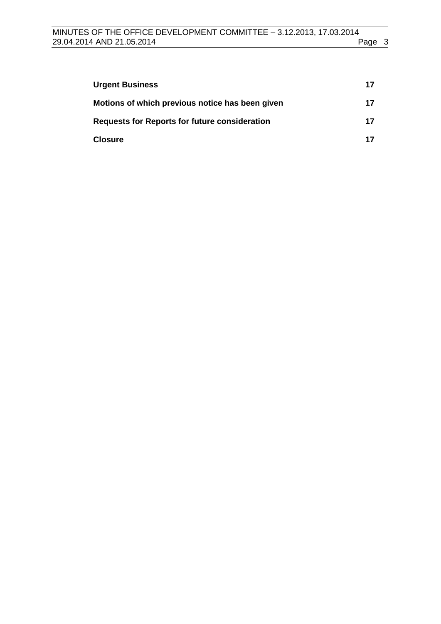| <b>Urgent Business</b>                               | 17 |
|------------------------------------------------------|----|
| Motions of which previous notice has been given      | 17 |
| <b>Requests for Reports for future consideration</b> | 17 |
| <b>Closure</b>                                       | 17 |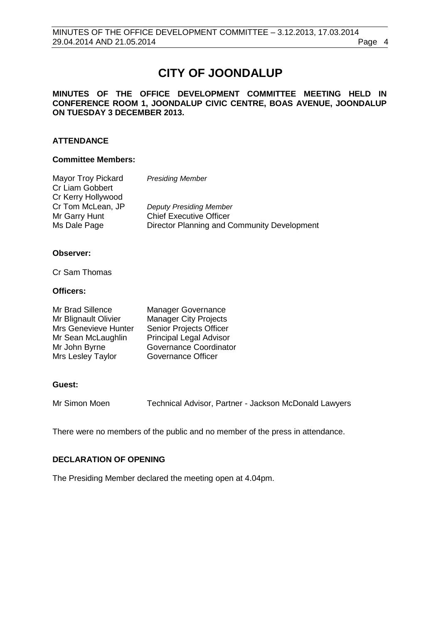# **CITY OF JOONDALUP**

#### **MINUTES OF THE OFFICE DEVELOPMENT COMMITTEE MEETING HELD IN CONFERENCE ROOM 1, JOONDALUP CIVIC CENTRE, BOAS AVENUE, JOONDALUP ON TUESDAY 3 DECEMBER 2013.**

#### **ATTENDANCE**

#### **Committee Members:**

| Mayor Troy Pickard | <b>Presiding Member</b>                     |
|--------------------|---------------------------------------------|
| Cr Liam Gobbert    |                                             |
| Cr Kerry Hollywood |                                             |
| Cr Tom McLean, JP  | <b>Deputy Presiding Member</b>              |
| Mr Garry Hunt      | <b>Chief Executive Officer</b>              |
| Ms Dale Page       | Director Planning and Community Development |

#### **Observer:**

Cr Sam Thomas

#### **Officers:**

| Mr Brad Sillence     | <b>Manager Governance</b>      |
|----------------------|--------------------------------|
| Mr Blignault Olivier | <b>Manager City Projects</b>   |
| Mrs Genevieve Hunter | Senior Projects Officer        |
| Mr Sean McLaughlin   | <b>Principal Legal Advisor</b> |
| Mr John Byrne        | Governance Coordinator         |
| Mrs Lesley Taylor    | Governance Officer             |

#### **Guest:**

Mr Simon Moen Technical Advisor, Partner - Jackson McDonald Lawyers

There were no members of the public and no member of the press in attendance.

#### <span id="page-3-0"></span>**DECLARATION OF OPENING**

The Presiding Member declared the meeting open at 4.04pm.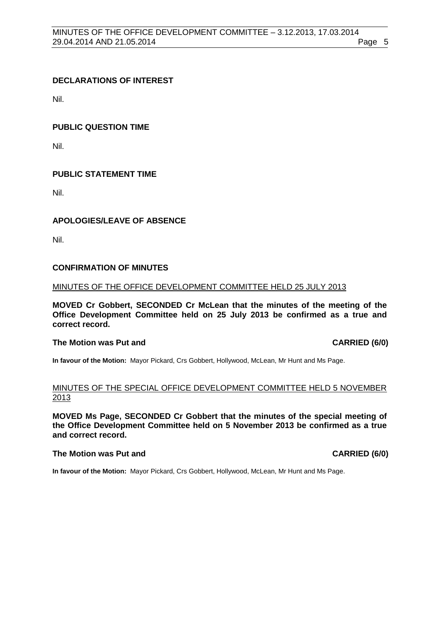#### <span id="page-4-0"></span>**DECLARATIONS OF INTEREST**

Nil.

#### <span id="page-4-1"></span>**PUBLIC QUESTION TIME**

Nil.

#### <span id="page-4-2"></span>**PUBLIC STATEMENT TIME**

Nil.

#### <span id="page-4-3"></span>**APOLOGIES/LEAVE OF ABSENCE**

Nil.

#### <span id="page-4-4"></span>**CONFIRMATION OF MINUTES**

#### MINUTES OF THE OFFICE DEVELOPMENT COMMITTEE HELD 25 JULY 2013

**MOVED Cr Gobbert, SECONDED Cr McLean that the minutes of the meeting of the Office Development Committee held on 25 July 2013 be confirmed as a true and correct record.**

#### **The Motion was Put and CARRIED (6/0)**

**In favour of the Motion:** Mayor Pickard, Crs Gobbert, Hollywood, McLean, Mr Hunt and Ms Page.

#### MINUTES OF THE SPECIAL OFFICE DEVELOPMENT COMMITTEE HELD 5 NOVEMBER 2013

**MOVED Ms Page, SECONDED Cr Gobbert that the minutes of the special meeting of the Office Development Committee held on 5 November 2013 be confirmed as a true and correct record.**

#### **The Motion was Put and CARRIED (6/0)**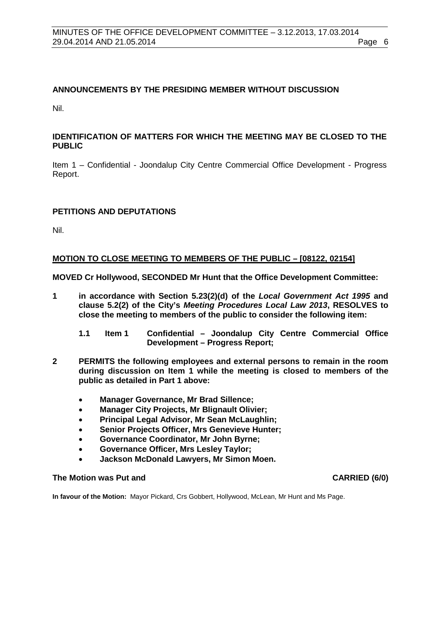#### <span id="page-5-0"></span>**ANNOUNCEMENTS BY THE PRESIDING MEMBER WITHOUT DISCUSSION**

Nil.

#### <span id="page-5-1"></span>**IDENTIFICATION OF MATTERS FOR WHICH THE MEETING MAY BE CLOSED TO THE PUBLIC**

Item 1 – Confidential - Joondalup City Centre Commercial Office Development - Progress Report.

#### <span id="page-5-2"></span>**PETITIONS AND DEPUTATIONS**

Nil.

#### <span id="page-5-3"></span>**MOTION TO CLOSE MEETING TO MEMBERS OF THE PUBLIC – [08122, 02154]**

**MOVED Cr Hollywood, SECONDED Mr Hunt that the Office Development Committee:**

- **1 in accordance with Section 5.23(2)(d) of the** *Local Government Act 1995* **and clause 5.2(2) of the City's** *Meeting Procedures Local Law 2013***, RESOLVES to close the meeting to members of the public to consider the following item:**
	- **1.1 Item 1 Confidential – Joondalup City Centre Commercial Office Development – Progress Report;**
- **2 PERMITS the following employees and external persons to remain in the room during discussion on Item 1 while the meeting is closed to members of the public as detailed in Part 1 above:**
	- **Manager Governance, Mr Brad Sillence;**
	- **Manager City Projects, Mr Blignault Olivier;**
	- **Principal Legal Advisor, Mr Sean McLaughlin;**
	- **Senior Projects Officer, Mrs Genevieve Hunter;**
	- **Governance Coordinator, Mr John Byrne;**
	- **Governance Officer, Mrs Lesley Taylor;**
	- **Jackson McDonald Lawyers, Mr Simon Moen.**

#### The Motion was Put and **CARRIED** (6/0)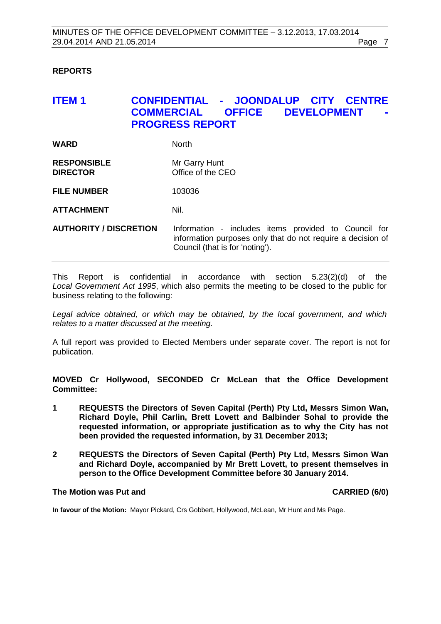#### <span id="page-6-0"></span>**REPORTS**

# <span id="page-6-1"></span>**ITEM 1 CONFIDENTIAL - JOONDALUP CITY CENTRE DEVELOPMENT PROGRESS REPORT**

| <b>WARD</b>                           | <b>North</b>                       |
|---------------------------------------|------------------------------------|
| <b>RESPONSIBLE</b><br><b>DIRECTOR</b> | Mr Garry Hunt<br>Office of the CEO |
| <b>FILE NUMBER</b>                    | 103036                             |

**ATTACHMENT** Nil.

**AUTHORITY / DISCRETION** Information - includes items provided to Council for information purposes only that do not require a decision of Council (that is for 'noting').

This Report is confidential in accordance with section 5.23(2)(d) of the *Local Government Act 1995*, which also permits the meeting to be closed to the public for business relating to the following:

*Legal advice obtained, or which may be obtained, by the local government, and which relates to a matter discussed at the meeting.*

A full report was provided to Elected Members under separate cover. The report is not for publication.

**MOVED Cr Hollywood, SECONDED Cr McLean that the Office Development Committee:**

- **1 REQUESTS the Directors of Seven Capital (Perth) Pty Ltd, Messrs Simon Wan, Richard Doyle, Phil Carlin, Brett Lovett and Balbinder Sohal to provide the requested information, or appropriate justification as to why the City has not been provided the requested information, by 31 December 2013;**
- **2 REQUESTS the Directors of Seven Capital (Perth) Pty Ltd, Messrs Simon Wan and Richard Doyle, accompanied by Mr Brett Lovett, to present themselves in person to the Office Development Committee before 30 January 2014.**

#### **The Motion was Put and CARRIED (6/0)**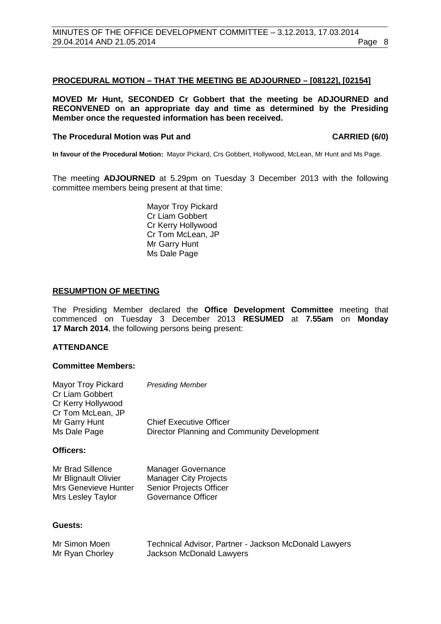#### <span id="page-7-0"></span>**PROCEDURAL MOTION – THAT THE MEETING BE ADJOURNED – [08122], [02154]**

**MOVED Mr Hunt, SECONDED Cr Gobbert that the meeting be ADJOURNED and RECONVENED on an appropriate day and time as determined by the Presiding Member once the requested information has been received.**

#### The Procedural Motion was Put and **CARRIED** (6/0)

**In favour of the Procedural Motion:** Mayor Pickard, Crs Gobbert, Hollywood, McLean, Mr Hunt and Ms Page.

The meeting **ADJOURNED** at 5.29pm on Tuesday 3 December 2013 with the following committee members being present at that time:

> Mayor Troy Pickard Cr Liam Gobbert Cr Kerry Hollywood Cr Tom McLean, JP Mr Garry Hunt Ms Dale Page

#### **RESUMPTION OF MEETING**

The Presiding Member declared the **Office Development Committee** meeting that commenced on Tuesday 3 December 2013 **RESUMED** at **7.55am** on **Monday 17 March 2014**, the following persons being present:

## **ATTENDANCE**

#### **Committee Members:**

| Mayor Troy Pickard<br>Cr Liam Gobbert | <b>Presiding Member</b>                     |
|---------------------------------------|---------------------------------------------|
| Cr Kerry Hollywood                    |                                             |
| Cr Tom McLean, JP                     |                                             |
| Mr Garry Hunt                         | <b>Chief Executive Officer</b>              |
| Ms Dale Page                          | Director Planning and Community Development |

#### **Officers:**

| Mr Brad Sillence            | <b>Manager Governance</b>    |
|-----------------------------|------------------------------|
| Mr Blignault Olivier        | <b>Manager City Projects</b> |
| <b>Mrs Genevieve Hunter</b> | Senior Projects Officer      |
| Mrs Lesley Taylor           | Governance Officer           |

#### **Guests:**

| Mr Simon Moen   | Technical Advisor, Partner - Jackson McDonald Lawyers |
|-----------------|-------------------------------------------------------|
| Mr Ryan Chorley | Jackson McDonald Lawyers                              |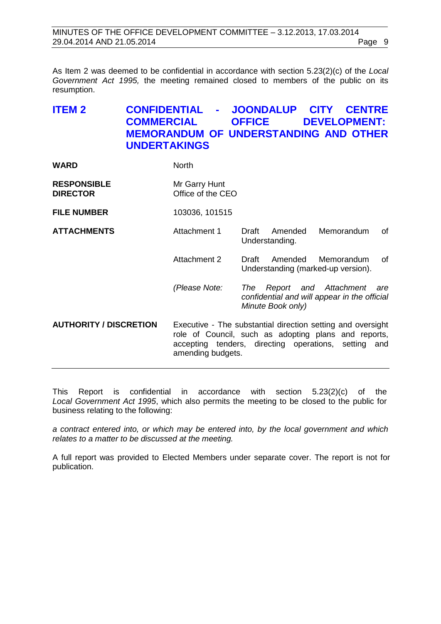As Item 2 was deemed to be confidential in accordance with section 5.23(2)(c) of the *Local Government Act 1995,* the meeting remained closed to members of the public on its resumption.

# <span id="page-8-0"></span>**ITEM 2 CONFIDENTIAL - JOONDALUP CITY CENTRE DEVELOPMENT: MEMORANDUM OF UNDERSTANDING AND OTHER UNDERTAKINGS**

| <b>WARD</b>                           | <b>North</b>                       |                                                                                                                                                                             |
|---------------------------------------|------------------------------------|-----------------------------------------------------------------------------------------------------------------------------------------------------------------------------|
| <b>RESPONSIBLE</b><br><b>DIRECTOR</b> | Mr Garry Hunt<br>Office of the CEO |                                                                                                                                                                             |
| <b>FILE NUMBER</b>                    | 103036, 101515                     |                                                                                                                                                                             |
| <b>ATTACHMENTS</b>                    | Attachment 1                       | Memorandum<br>Draft<br>Amended<br>οf<br>Understanding.                                                                                                                      |
|                                       | Attachment 2                       | Amended<br>Memorandum<br>0f<br>Draft<br>Understanding (marked-up version).                                                                                                  |
|                                       | (Please Note:                      | Report and Attachment<br>The<br>are<br>confidential and will appear in the official<br>Minute Book only)                                                                    |
| <b>AUTHORITY / DISCRETION</b>         | amending budgets.                  | Executive - The substantial direction setting and oversight<br>role of Council, such as adopting plans and reports,<br>accepting tenders, directing operations, setting and |
|                                       |                                    |                                                                                                                                                                             |

This Report is confidential in accordance with section 5.23(2)(c) of the *Local Government Act 1995*, which also permits the meeting to be closed to the public for business relating to the following:

*a contract entered into, or which may be entered into, by the local government and which relates to a matter to be discussed at the meeting.*

A full report was provided to Elected Members under separate cover. The report is not for publication.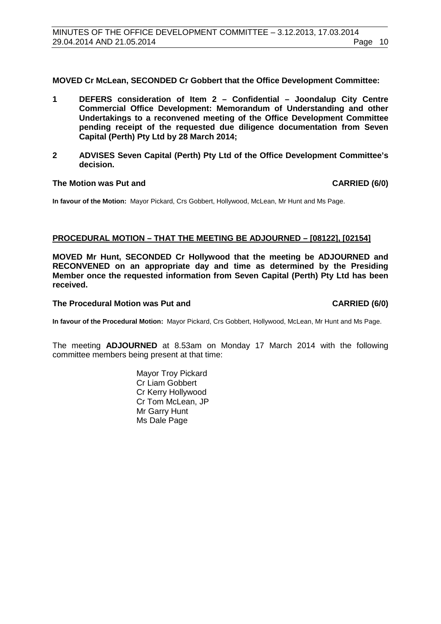**MOVED Cr McLean, SECONDED Cr Gobbert that the Office Development Committee:**

- **1 DEFERS consideration of Item 2 – Confidential – Joondalup City Centre Commercial Office Development: Memorandum of Understanding and other Undertakings to a reconvened meeting of the Office Development Committee pending receipt of the requested due diligence documentation from Seven Capital (Perth) Pty Ltd by 28 March 2014;**
- **2 ADVISES Seven Capital (Perth) Pty Ltd of the Office Development Committee's decision.**

#### **The Motion was Put and CARRIED (6/0)**

**In favour of the Motion:** Mayor Pickard, Crs Gobbert, Hollywood, McLean, Mr Hunt and Ms Page.

#### <span id="page-9-0"></span>**PROCEDURAL MOTION – THAT THE MEETING BE ADJOURNED – [08122], [02154]**

**MOVED Mr Hunt, SECONDED Cr Hollywood that the meeting be ADJOURNED and RECONVENED on an appropriate day and time as determined by the Presiding Member once the requested information from Seven Capital (Perth) Pty Ltd has been received.**

#### The Procedural Motion was Put and **CARRIED (6/0)**

**In favour of the Procedural Motion:** Mayor Pickard, Crs Gobbert, Hollywood, McLean, Mr Hunt and Ms Page.

The meeting **ADJOURNED** at 8.53am on Monday 17 March 2014 with the following committee members being present at that time:

> Mayor Troy Pickard Cr Liam Gobbert Cr Kerry Hollywood Cr Tom McLean, JP Mr Garry Hunt Ms Dale Page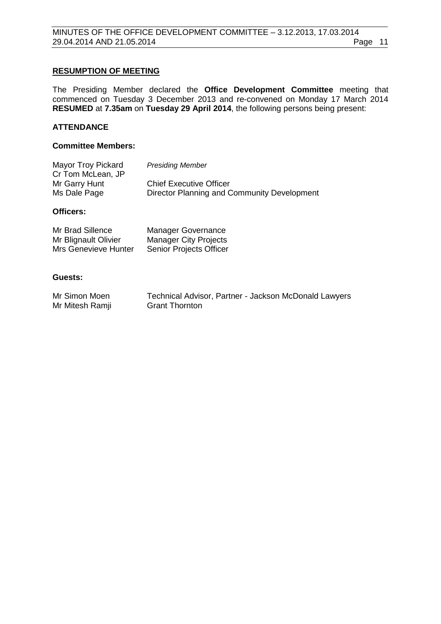#### **RESUMPTION OF MEETING**

The Presiding Member declared the **Office Development Committee** meeting that commenced on Tuesday 3 December 2013 and re-convened on Monday 17 March 2014 **RESUMED** at **7.35am** on **Tuesday 29 April 2014**, the following persons being present:

## **ATTENDANCE**

#### **Committee Members:**

| <b>Mayor Troy Pickard</b> | <b>Presiding Member</b>                     |
|---------------------------|---------------------------------------------|
| Cr Tom McLean, JP         |                                             |
| Mr Garry Hunt             | <b>Chief Executive Officer</b>              |
| Ms Dale Page              | Director Planning and Community Development |

#### **Officers:**

| Mr Brad Sillence     | <b>Manager Governance</b>      |
|----------------------|--------------------------------|
| Mr Blignault Olivier | <b>Manager City Projects</b>   |
| Mrs Genevieve Hunter | <b>Senior Projects Officer</b> |

#### **Guests:**

| Mr Simon Moen   | Technical Advisor, Partner - Jackson McDonald Lawyers |
|-----------------|-------------------------------------------------------|
| Mr Mitesh Ramji | <b>Grant Thornton</b>                                 |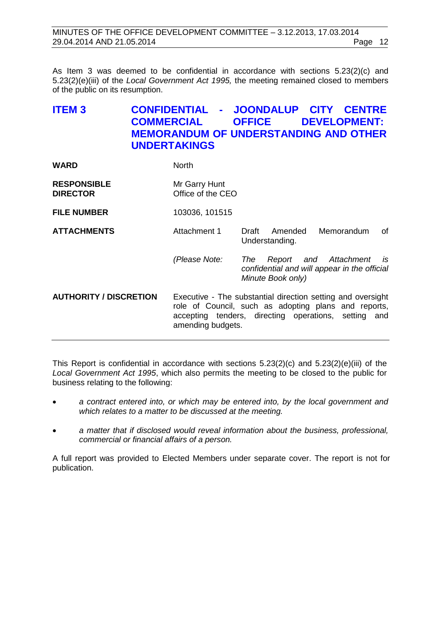| MINUTES OF THE OFFICE DEVELOPMENT COMMITTEE - 3.12.2013, 17.03.2014 |         |  |
|---------------------------------------------------------------------|---------|--|
| 29.04.2014 AND 21.05.2014                                           | Page 12 |  |

As Item 3 was deemed to be confidential in accordance with sections 5.23(2)(c) and 5.23(2)(e)(iii) of the *Local Government Act 1995,* the meeting remained closed to members of the public on its resumption.

# <span id="page-11-0"></span>**ITEM 3 CONFIDENTIAL - JOONDALUP CITY CENTRE DEVELOPMENT: MEMORANDUM OF UNDERSTANDING AND OTHER UNDERTAKINGS**

| <b>WARD</b>                           | <b>North</b>                       |                                                                                                                                                                             |
|---------------------------------------|------------------------------------|-----------------------------------------------------------------------------------------------------------------------------------------------------------------------------|
| <b>RESPONSIBLE</b><br><b>DIRECTOR</b> | Mr Garry Hunt<br>Office of the CEO |                                                                                                                                                                             |
| <b>FILE NUMBER</b>                    | 103036, 101515                     |                                                                                                                                                                             |
| <b>ATTACHMENTS</b>                    | Attachment 1                       | Memorandum<br>Amended<br>Draft<br>of<br>Understanding.                                                                                                                      |
|                                       | (Please Note:                      | is<br>The<br>Report and Attachment<br>confidential and will appear in the official<br>Minute Book only)                                                                     |
| <b>AUTHORITY / DISCRETION</b>         | amending budgets.                  | Executive - The substantial direction setting and oversight<br>role of Council, such as adopting plans and reports,<br>accepting tenders, directing operations, setting and |

This Report is confidential in accordance with sections  $5.23(2)(c)$  and  $5.23(2)(e)$ (iii) of the *Local Government Act 1995*, which also permits the meeting to be closed to the public for business relating to the following:

- *a contract entered into, or which may be entered into, by the local government and which relates to a matter to be discussed at the meeting.*
- *a matter that if disclosed would reveal information about the business, professional, commercial or financial affairs of a person.*

A full report was provided to Elected Members under separate cover. The report is not for publication.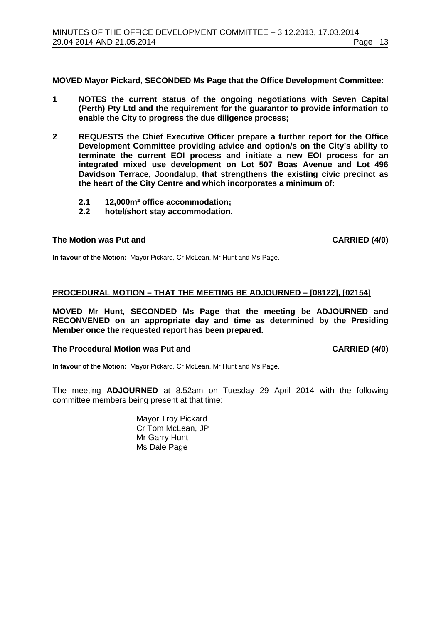<span id="page-12-0"></span>**MOVED Mayor Pickard, SECONDED Ms Page that the Office Development Committee:**

- **1 NOTES the current status of the ongoing negotiations with Seven Capital (Perth) Pty Ltd and the requirement for the guarantor to provide information to enable the City to progress the due diligence process;**
- **2 REQUESTS the Chief Executive Officer prepare a further report for the Office Development Committee providing advice and option/s on the City's ability to terminate the current EOI process and initiate a new EOI process for an integrated mixed use development on Lot 507 Boas Avenue and Lot 496 Davidson Terrace, Joondalup, that strengthens the existing civic precinct as the heart of the City Centre and which incorporates a minimum of:**
	- **2.1 12,000m² office accommodation;**
	- **2.2 hotel/short stay accommodation.**

## **The Motion was Put and CARRIED (4/0)**

**In favour of the Motion:** Mayor Pickard, Cr McLean, Mr Hunt and Ms Page.

#### **PROCEDURAL MOTION – THAT THE MEETING BE ADJOURNED – [08122], [02154]**

**MOVED Mr Hunt, SECONDED Ms Page that the meeting be ADJOURNED and RECONVENED on an appropriate day and time as determined by the Presiding Member once the requested report has been prepared.**

#### **The Procedural Motion was Put and CARRIED (4/0)**

**In favour of the Motion:** Mayor Pickard, Cr McLean, Mr Hunt and Ms Page.

The meeting **ADJOURNED** at 8.52am on Tuesday 29 April 2014 with the following committee members being present at that time:

> Mayor Troy Pickard Cr Tom McLean, JP Mr Garry Hunt Ms Dale Page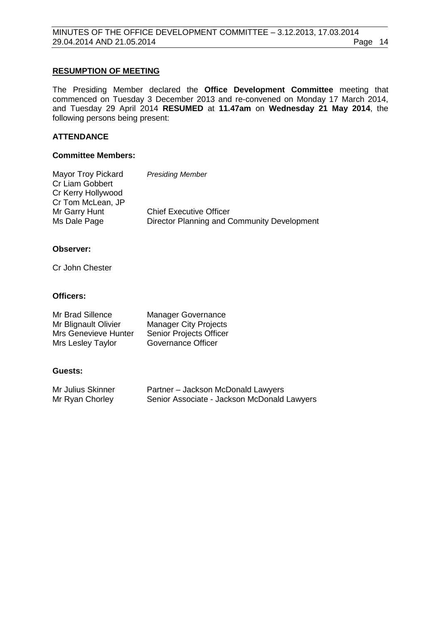#### **RESUMPTION OF MEETING**

The Presiding Member declared the **Office Development Committee** meeting that commenced on Tuesday 3 December 2013 and re-convened on Monday 17 March 2014, and Tuesday 29 April 2014 **RESUMED** at **11.47am** on **Wednesday 21 May 2014**, the following persons being present:

## **ATTENDANCE**

#### **Committee Members:**

| <b>Mayor Troy Pickard</b> | <b>Presiding Member</b>                     |
|---------------------------|---------------------------------------------|
| Cr Liam Gobbert           |                                             |
| Cr Kerry Hollywood        |                                             |
| Cr Tom McLean, JP         |                                             |
| Mr Garry Hunt             | <b>Chief Executive Officer</b>              |
| Ms Dale Page              | Director Planning and Community Development |

#### **Observer:**

Cr John Chester

#### **Officers:**

| Mr Brad Sillence            | Manager Governance             |
|-----------------------------|--------------------------------|
| Mr Blignault Olivier        | <b>Manager City Projects</b>   |
| <b>Mrs Genevieve Hunter</b> | <b>Senior Projects Officer</b> |
| Mrs Lesley Taylor           | Governance Officer             |

#### **Guests:**

| Mr Julius Skinner | Partner - Jackson McDonald Lawyers          |
|-------------------|---------------------------------------------|
| Mr Ryan Chorley   | Senior Associate - Jackson McDonald Lawyers |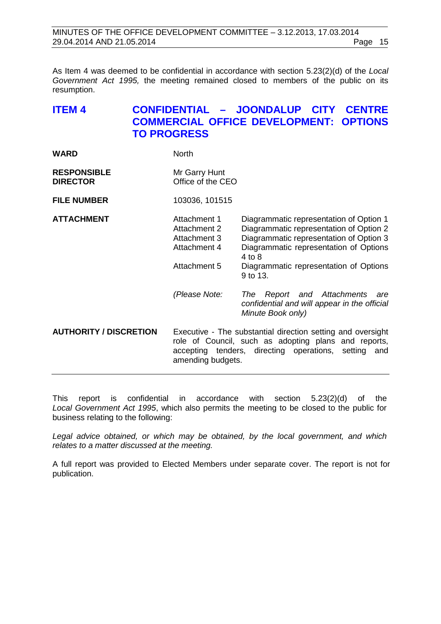| MINUTES OF THE OFFICE DEVELOPMENT COMMITTEE - 3.12.2013, 17.03.2014 |         |  |
|---------------------------------------------------------------------|---------|--|
| 29.04.2014 AND 21.05.2014                                           | Page 15 |  |

As Item 4 was deemed to be confidential in accordance with section 5.23(2)(d) of the *Local Government Act 1995,* the meeting remained closed to members of the public on its resumption.

# <span id="page-14-0"></span>**ITEM 4 CONFIDENTIAL – JOONDALUP CITY CENTRE COMMERCIAL OFFICE DEVELOPMENT: OPTIONS TO PROGRESS**

| <b>WARD</b> | <b>North</b> |
|-------------|--------------|
|             |              |

| <b>RESPONSIBLE</b> | Mr Garry Hunt     |
|--------------------|-------------------|
| <b>DIRECTOR</b>    | Office of the CEO |

**FILE NUMBER** 103036, 101515

- **ATTACHMENT** Attachment 1 Diagrammatic representation of Option 1 Attachment 2 Diagrammatic representation of Option 2<br>Attachment 3 Diagrammatic representation of Option 3 Attachment 3 Diagrammatic representation of Option 3<br>Attachment 4 Diagrammatic representation of Options Diagrammatic representation of Options 4 to 8 Attachment 5 Diagrammatic representation of Options 9 to 13.
	- *(Please Note: The Report and Attachments are confidential and will appear in the official Minute Book only)*

**AUTHORITY / DISCRETION** Executive - The substantial direction setting and oversight role of Council, such as adopting plans and reports, accepting tenders, directing operations, setting and amending budgets.

This report is confidential in accordance with section 5.23(2)(d) of the *Local Government Act 1995*, which also permits the meeting to be closed to the public for business relating to the following:

*Legal advice obtained, or which may be obtained, by the local government, and which relates to a matter discussed at the meeting.*

A full report was provided to Elected Members under separate cover. The report is not for publication.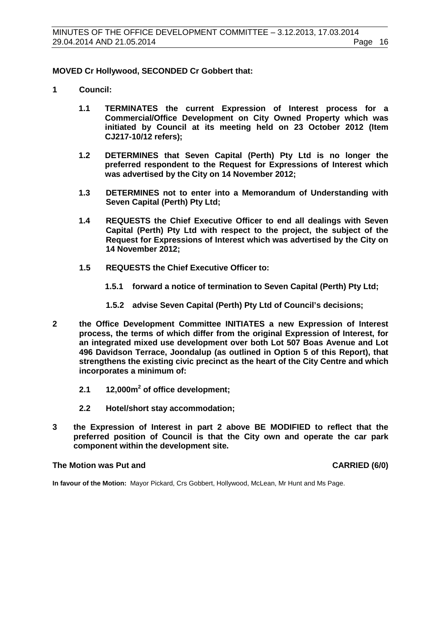#### **MOVED Cr Hollywood, SECONDED Cr Gobbert that:**

- **1 Council:**
	- **1.1 TERMINATES the current Expression of Interest process for a Commercial/Office Development on City Owned Property which was initiated by Council at its meeting held on 23 October 2012 (Item CJ217-10/12 refers);**
	- **1.2 DETERMINES that Seven Capital (Perth) Pty Ltd is no longer the preferred respondent to the Request for Expressions of Interest which was advertised by the City on 14 November 2012;**
	- **1.3 DETERMINES not to enter into a Memorandum of Understanding with Seven Capital (Perth) Pty Ltd;**
	- **1.4 REQUESTS the Chief Executive Officer to end all dealings with Seven Capital (Perth) Pty Ltd with respect to the project, the subject of the Request for Expressions of Interest which was advertised by the City on 14 November 2012;**
	- **1.5 REQUESTS the Chief Executive Officer to:**
		- **1.5.1 forward a notice of termination to Seven Capital (Perth) Pty Ltd;**
		- **1.5.2 advise Seven Capital (Perth) Pty Ltd of Council's decisions;**
- **2 the Office Development Committee INITIATES a new Expression of Interest process, the terms of which differ from the original Expression of Interest, for an integrated mixed use development over both Lot 507 Boas Avenue and Lot 496 Davidson Terrace, Joondalup (as outlined in Option 5 of this Report), that strengthens the existing civic precinct as the heart of the City Centre and which incorporates a minimum of:**
	- **2.1 12,000m<sup>2</sup> of office development;**
	- **2.2 Hotel/short stay accommodation;**
- **3 the Expression of Interest in part 2 above BE MODIFIED to reflect that the preferred position of Council is that the City own and operate the car park component within the development site.**

#### **The Motion was Put and CARRIED (6/0)**